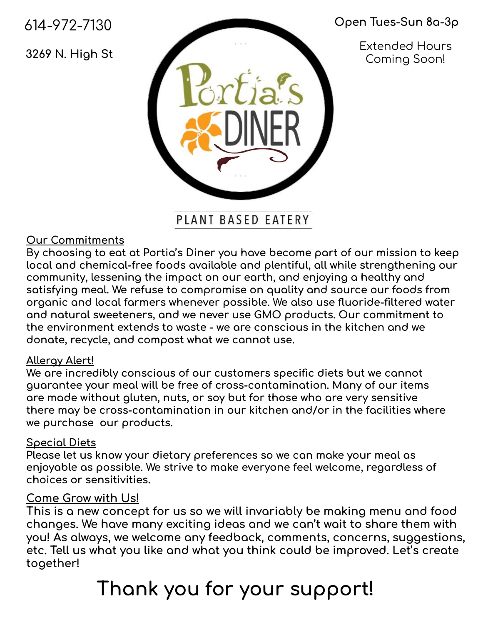614-972-7130

3269 N. High St

### Open Tues-Sun 8a-3p

**Extended Hours** Coming Soon!

PLANT BASED EATERY

### **Our Commitments**

By choosing to eat at Portia's Diner you have become part of our mission to keep local and chemical-free foods available and plentiful, all while strengthening our community, lessening the impact on our earth, and enjoying a healthy and satisfying meal. We refuse to compromise on quality and source our foods from organic and local farmers whenever possible. We also use fluoride-filtered water and natural sweeteners, and we never use GMO products. Our commitment to the environment extends to waste - we are conscious in the kitchen and we donate, recycle, and compost what we cannot use.

#### **Allergy Alert!**

We are incredibly conscious of our customers specific diets but we cannot guarantee your meal will be free of cross-contamination. Many of our items are made without gluten, nuts, or soy but for those who are very sensitive there may be cross-contamination in our kitchen and/or in the facilities where we purchase our products.

#### **Special Diets**

Please let us know your dietary preferences so we can make your meal as enjoyable as possible. We strive to make everyone feel welcome, regardless of choices or sensitivities.

### <u>Come Grow with Us!</u>

This is a new concept for us so we will invariably be making menu and food changes. We have many exciting ideas and we can't wait to share them with you! As always, we welcome any feedback, comments, concerns, suggestions, etc. Tell us what you like and what you think could be improved. Let's create together!

## Thank you for your support!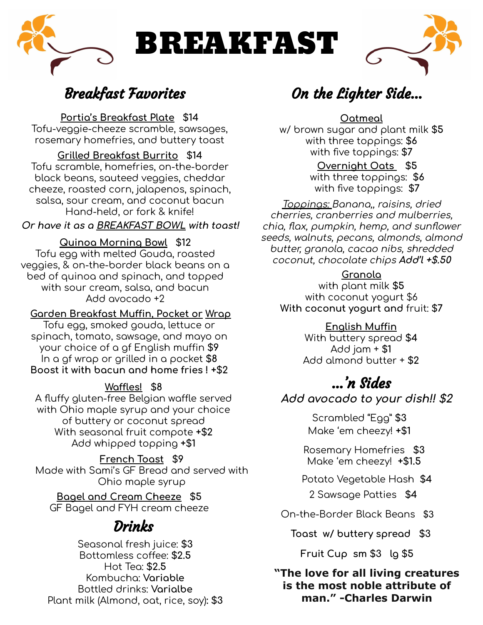

### **Breakfast Favorites**

Portia's Breakfast Plate \$14

Tofu-veggie-cheeze scramble, sawsages, rosemary homefries, and buttery toast

### **Grilled Breakfast Burrito \$14**

Tofu scramble, homefries, on-the-border black beans, sauteed veggies, cheddar cheeze, roasted corn, jalapenos, spinach, salsa, sour cream, and coconut bacun Hand-held, or fork & knife!

Or have it as a BREAKFAST BOWL with toast!

#### **Quinoa Morning Bowl \$12**

Tofu egg with melted Gouda, roasted veggies, & on-the-border black beans on a bed of quinoa and spinach, and topped with sour cream, salsa, and bacun Add avocado +2

#### Garden Breakfast Muffin, Pocket or Wrap

Tofu egg, smoked gouda, lettuce or spinach, tomato, sawsage, and mayo on your choice of a of English muffin \$9 In a gf wrap or grilled in a pocket \$8 Boost it with bocun and home fries ! +\$2

#### Waffles! \$8

A fluffy gluten-free Belgian waffle served with Ohio maple syrup and your choice of buttery or coconut spread With seasonal fruit compote +\$2 Add whipped topping +\$1

French Toast \$9 Made with Sami's GF Bread and served with Ohio maple syrup

Bagel and Cream Cheeze \$5 GF Bagel and FYH cream cheeze

### **Drinks**

Seasonal fresh juice: \$3 Bottomless coffee: \$2.5 Hot Tea: \$2.5 Kombucha: Variable **Bottled drinks: Varialbe** Plant milk (Almond, oat, rice, soy): \$3

### On the Lighter Side...

Oatmeal

w/ brown sugar and plant milk \$5 with three toppings: \$6 with five toppings: \$7

> Overnight Oats \$5 with three toppings: \$6 with five toppings: \$7

<u>Toppings: Banana,, raisins, dried</u> cherries, cranberries and mulberries, chia, flax, pumpkin, hemp, and sunflower seeds, walnuts, pecans, almonds, almond butter, granola, cacao nibs, shredded coconut, chocolate chips Add'l +\$.50

#### Granola

with plant milk \$5 with coconut yogurt \$6 With coconut yogurt and fruit: \$7

### English Muffin

With buttery spread \$4  $Add jam + $1$ Add almond butter + \$2

### ...'n Sides

### Add avocado to your dish!! \$2

Scrambled "Egg" \$3 Make 'em cheezy! +\$1

Rosemary Homefries \$3 Make 'em cheezy! +\$1.5

Potato Vegetable Hash \$4

2 Sawsage Patties \$4

On-the-Border Black Beans \$3

Toast w/ buttery spread \$3

Fruit Cup sm \$3 lg \$5

"The love for all living creatures" is the most noble attribute of man." - Charles Darwin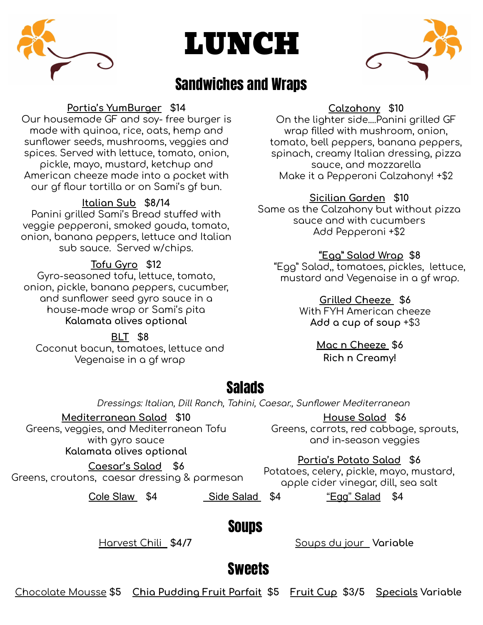

# LUNCH



### **Sandwiches and Wraps**

### Portia's YumBurger \$14

Our housemade GF and soy-free burger is made with quinoa, rice, oats, hemp and sunflower seeds, mushrooms, veggies and spices. Served with lettuce, tomato, onion, pickle, mayo, mustard, ketchup and American cheeze made into a pocket with our of flour tortilla or on Sami's gf bun.

### Italian Sub \$8/14

Panini grilled Sami's Bread stuffed with veggie pepperoni, smoked gouda, tomato, onion, banana peppers, lettuce and Italian sub sauce. Served w/chips.

#### Tofu Gyro \$12

Gyro-seasoned tofu, lettuce, tomato, onion, pickle, banana peppers, cucumber, and sunflower seed gyro sauce in a house-made wrap or Sami's pita Kalamata olives optional

**BLT \$8** Coconut bacun, tomatoes, lettuce and Vegenaise in a gf wrap

### Calzahony \$10

On the lighter side....Panini grilled GF wrop filled with mushroom, onion, tomato, bell peppers, banana peppers, spinach, creamy Italian dressing, pizza squce, and mozzarella Make it a Pepperoni Calzahony! +\$2

#### Sicilian Garden \$10

Same as the Calzahony but without pizza squce and with cucumbers Add Pepperoni +\$2

#### "Egg" Salad Wrap \$8

"Egg" Salad, tomatoes, pickles, lettuce, mustard and Vegenaise in a gf wrap.

#### Grilled Cheeze \$6

With FYH American cheeze Add a cup of soup +\$3

### Mac n Cheeze \$6

**Rich n Creamy!** 

### **Salads**

Dressings: Italian, Dill Ranch, Tahini, Caesar., Sunflower Mediterranean

Mediterranean Salad \$10 Greens, veggies, and Mediterranean Tofu with gyro sauce Kalamata olives optional

Greens, croutons, caesar dressing & parmesan

House Salad \$6

Greens, carrots, red cabbage, sprouts, and in-season vegaies

#### Portia's Potato Salad \$6

Potatoes, celery, pickle, mayo, mustard, apple cider vinegar, dill, sea salt

Cole Slaw \$4

Caesar's Salad \$6

Side Salad \$4

"Egg" Salad \$4

### **Soups**

Harvest Chili \$4/7

Soups du jour Variable

### **Sweets**

Chocolate Mousse \$5 Chia Pudding Fruit Parfait \$5 Fruit Cup \$3/5 Specials Variable